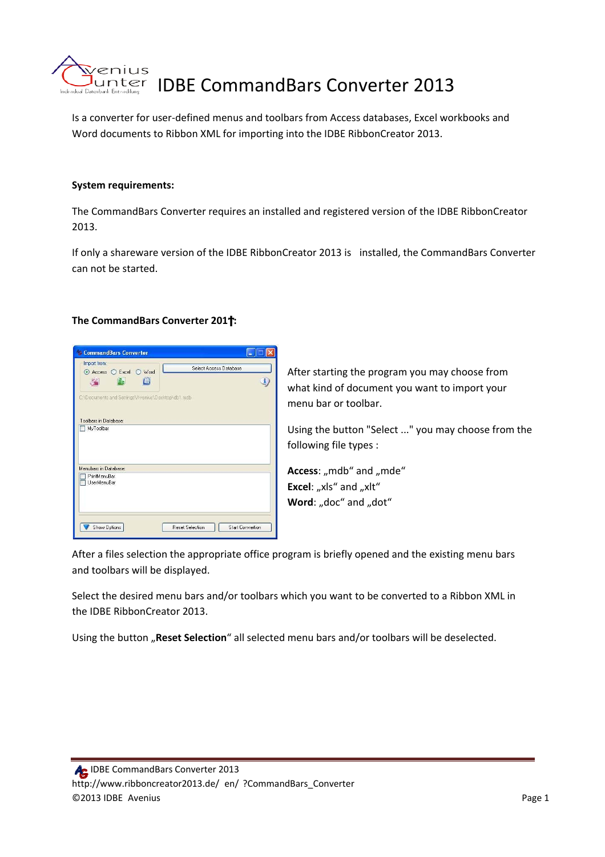

Is a converter for user‐defined menus and toolbars from Access databases, Excel workbooks and Word documents to Ribbon XML for importing into the IDBE RibbonCreator 2013.

### **System requirements:**

The CommandBars Converter requires an installed and registered version of the IDBE RibbonCreator 2013.

If only a shareware version of the IDBE RibbonCreator 2013 is installed, the CommandBars Converter can not be started.

#### **The CommandBars Converter 201 :**



After starting the program you may choose from what kind of document you want to import your menu bar or toolbar.

Using the button "Select ..." you may choose from the following file types :

Access: "mdb" and "mde" **Excel:** "xls" and "xlt" **Word:** "doc" and "dot"

After a files selection the appropriate office program is briefly opened and the existing menu bars and toolbars will be displayed.

Select the desired menu bars and/or toolbars which you want to be converted to a Ribbon XML in the IDBE RibbonCreator 2013.

Using the button "Reset Selection" all selected menu bars and/or toolbars will be deselected.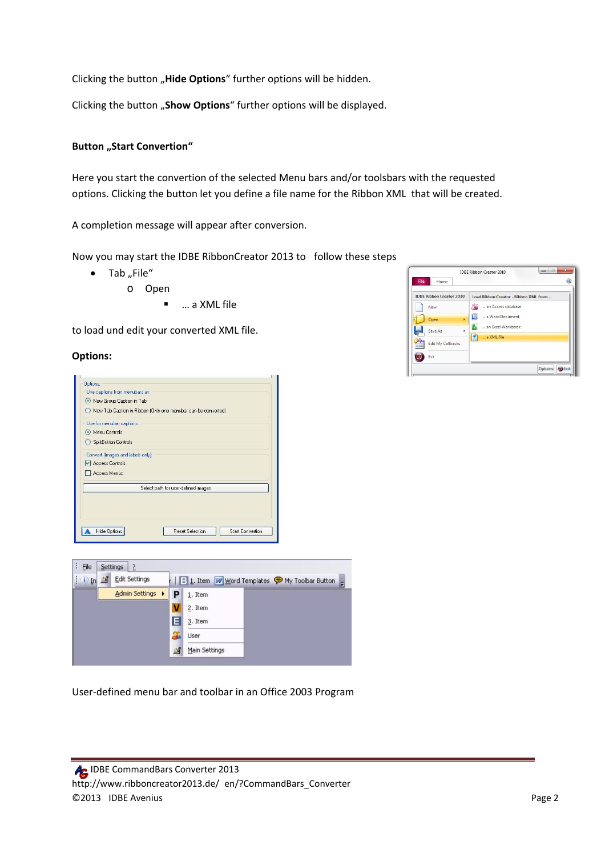Clicking the button "Hide Options" further options will be hidden.

Clicking the button "Show Options" further options will be displayed.

# **Button** "Start Convertion"

Here you start the convertion of the selected Menu bars and/or toolsbars with the requested options. Clicking the button let you define a file name for the Ribbon XML that will be created.

A completion message will appear after conversion.

Now you may start the IDBE RibbonCreator 2013 to follow these steps

- $\bullet$  Tab "File"
	- o Open
		- … a XML file

to load und edit your converted XML file.

#### **Options:**





User‐defined menu bar and toolbar in an Office 2003 Program

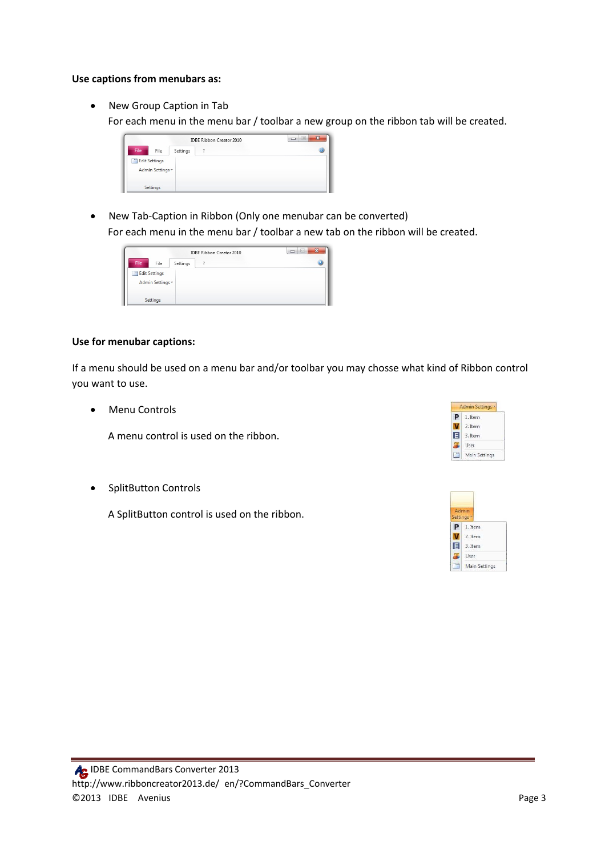#### **Use captions from menubars as:**

• New Group Caption in Tab

For each menu in the menu bar / toolbar a new group on the ribbon tab will be created.



• New Tab-Caption in Ribbon (Only one menubar can be converted) For each menu in the menu bar / toolbar a new tab on the ribbon will be created.



## **Use for menubar captions:**

If a menu should be used on a menu bar and/or toolbar you may chosse what kind of Ribbon control you want to use.

• Menu Controls

A menu control is used on the ribbon.

• SplitButton Controls

A SplitButton control is used on the ribbon.

|   | <b>Admin Settings</b> |
|---|-----------------------|
|   | 1. Item               |
|   | 2. Item               |
| E | 3. Item               |
|   | User                  |
|   | Main Settings         |